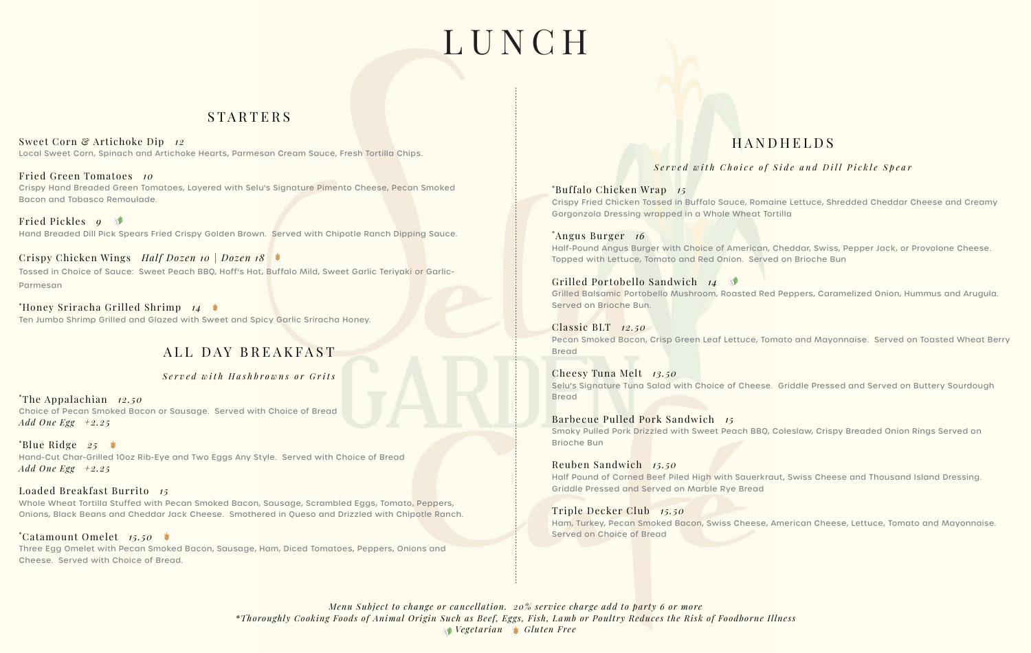# LUNCH

## STARTERS

Sweet Corn & Artichoke Dip *12* Local Sweet Corn, Spinach and Artichoke Hearts, Parmesan Cream Sauce, Fresh Tortilla Chips.

Fried Green Tomatoes *10* Crispy Hand Breaded Green Tomatoes, Layered with Selu's Signature Pimento Cheese, Pecan Smoked Bacon and Tabasco Remoulade.

Fried Pickles *9* Hand Breaded Dill Pick Spears Fried Crispy Golden Brown. Served with Chipotle Ranch Dipping Sauce.

Crispy Chicken Wings *Half Dozen 10 | Dozen 18* Tossed in Choice of Sauce: Sweet Peach BBQ, Hoff's Hot, Buffalo Mild, Sweet Garlic Teriyaki or Garlic-Parmesan

\* Honey Sriracha Grilled Shrimp *14* Ten Jumbo Shrimp Grilled and Glazed with Sweet and Spicy Garlic Sriracha Honey.

## ALL DAY BREAKFAST

*Served with Hashbrowns or Grits*

\* The Appalachian *12.50* Choice of Pecan Smoked Bacon or Sausage. Served with Choice of Bread *Add One Egg +2.25*

\* Blue Ridge *25* Hand-Cut Char-Grilled 10oz Rib-Eye and Two Eggs Any Style. Served with Choice of Bread *Add One Egg +2.25*

Loaded Breakfast Burrito *15* Whole Wheat Tortilla Stuffed with Pecan Smoked Bacon, Sausage, Scrambled Eggs, Tomato, Peppers, Onions, Black Beans and Cheddar Jack Cheese. Smothered in Queso and Drizzled with Chipotle Ranch.

\* Catamount Omelet *15.50* Three Egg Omelet with Pecan Smoked Bacon, Sausage, Ham, Diced Tomatoes, Peppers, Onions and Cheese. Served with Choice of Bread.

# HANDHELDS

*Served with Choice of Side and Dill Pickle Spear*

\* Buffalo Chicken Wrap *15* Crispy Fried Chicken Tossed in Buffalo Sauce, Romaine Lettuce, Shredded Cheddar Cheese and Creamy Gorgonzola Dressing wrapped in a Whole Wheat Tortilla

\* Angus Burger *16* Half-Pound Angus Burger with Choice of American, Cheddar, Swiss, Pepper Jack, or Provolone Cheese. Topped with Lettuce, Tomato and Red Onion. Served on Brioche Bun

Grilled Portobello Sandwich *14* Grilled Balsamic Portobello Mushroom, Roasted Red Peppers, Caramelized Onion, Hummus and Arugula. Served on Brioche Bun.

Classic BLT *12.50* Pecan Smoked Bacon, Crisp Green Leaf Lettuce, Tomato and Mayonnaise. Served on Toasted Wheat Berry Bread

Cheesy Tuna Melt *13.50* Selu's Signature Tuna Salad with Choice of Cheese. Griddle Pressed and Served on Buttery Sourdough Bread

Barbecue Pulled Pork Sandwich *15* Smoky Pulled Pork Drizzled with Sweet Peach BBQ, Coleslaw, Crispy Breaded Onion Rings Served on Brioche Bun

Reuben Sandwich *15.50* Half Pound of Corned Beef Piled High with Sauerkraut, Swiss Cheese and Thousand Island Dressing. Griddle Pressed and Served on Marble Rye Bread

Triple Decker Club *15.50* Ham, Turkey, Pecan Smoked Bacon, Swiss Cheese, American Cheese, Lettuce, Tomato and Mayonnaise. Served on Choice of Bread

*Menu Subject to change or cancellation. 20% service charge add to party 6 or more \*Thoroughly Cooking Foods of Animal Origin Such as Beef, Eggs, Fish, Lamb or Poultry Reduces the Risk of Foodborne Illness Vegetarian Gluten Free*